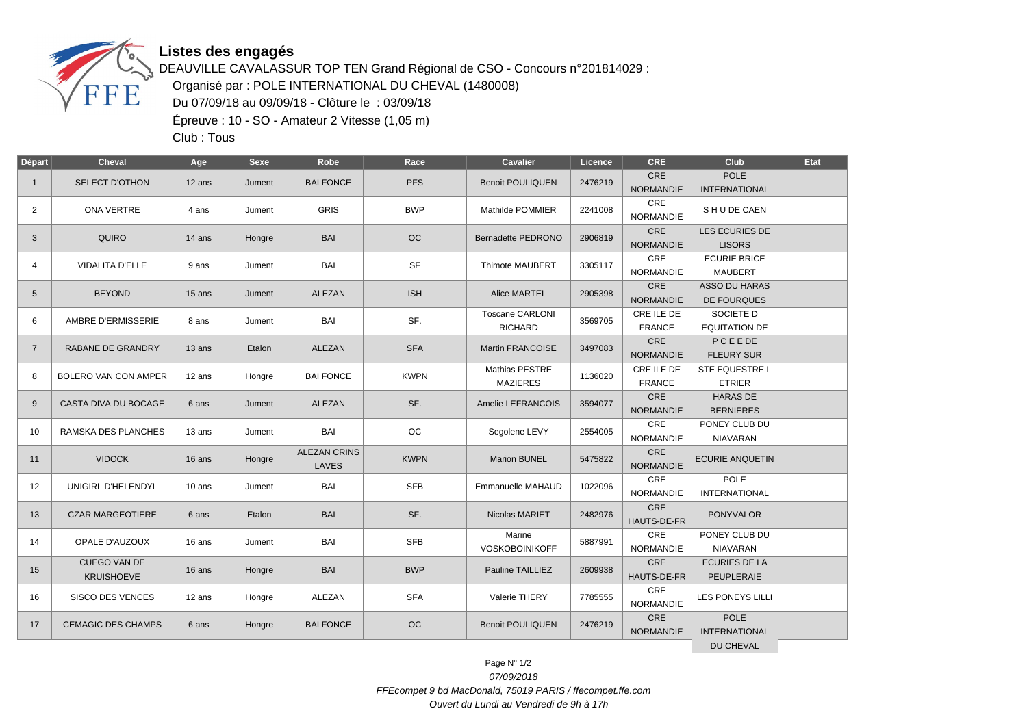

## **Listes des engagés**

DEAUVILLE CAVALASSUR TOP TEN Grand Régional de CSO - Concours n°201814029 : Organisé par : POLE INTERNATIONAL DU CHEVAL (1480008) Du 07/09/18 au 09/09/18 - Clôture le : 03/09/18 Épreuve : 10 - SO - Amateur 2 Vitesse (1,05 m)

Club : Tous

| Départ         | <b>Cheval</b>                            | Age    | Sexe   | Robe                         | Race        | Cavalier                                 | Licence | <b>CRE</b>                     | Club                                   | Etat |
|----------------|------------------------------------------|--------|--------|------------------------------|-------------|------------------------------------------|---------|--------------------------------|----------------------------------------|------|
| $\mathbf{1}$   | SELECT D'OTHON                           | 12 ans | Jument | <b>BAI FONCE</b>             | <b>PFS</b>  | <b>Benoit POULIQUEN</b>                  | 2476219 | CRE<br><b>NORMANDIE</b>        | <b>POLE</b><br><b>INTERNATIONAL</b>    |      |
| $\overline{2}$ | <b>ONA VERTRE</b>                        | 4 ans  | Jument | <b>GRIS</b>                  | <b>BWP</b>  | Mathilde POMMIER                         | 2241008 | CRE<br>NORMANDIE               | SHUDE CAEN                             |      |
| 3              | <b>QUIRO</b>                             | 14 ans | Hongre | <b>BAI</b>                   | <b>OC</b>   | Bernadette PEDRONO                       | 2906819 | CRE<br><b>NORMANDIE</b>        | LES ECURIES DE<br><b>LISORS</b>        |      |
| 4              | <b>VIDALITA D'ELLE</b>                   | 9 ans  | Jument | BAI                          | <b>SF</b>   | Thimote MAUBERT                          | 3305117 | <b>CRE</b><br><b>NORMANDIE</b> | <b>ECURIE BRICE</b><br><b>MAUBERT</b>  |      |
| 5              | <b>BEYOND</b>                            | 15 ans | Jument | <b>ALEZAN</b>                | <b>ISH</b>  | Alice MARTEL                             | 2905398 | CRE<br><b>NORMANDIE</b>        | <b>ASSO DU HARAS</b><br>DE FOURQUES    |      |
| 6              | AMBRE D'ERMISSERIE                       | 8 ans  | Jument | BAI                          | SF.         | <b>Toscane CARLONI</b><br><b>RICHARD</b> | 3569705 | CRE ILE DE<br><b>FRANCE</b>    | SOCIETE D<br><b>EQUITATION DE</b>      |      |
| $\overline{7}$ | RABANE DE GRANDRY                        | 13 ans | Etalon | ALEZAN                       | <b>SFA</b>  | Martin FRANCOISE                         | 3497083 | <b>CRE</b><br><b>NORMANDIE</b> | PCEEDE<br><b>FLEURY SUR</b>            |      |
| 8              | BOLERO VAN CON AMPER                     | 12 ans | Hongre | <b>BAI FONCE</b>             | <b>KWPN</b> | <b>Mathias PESTRE</b><br><b>MAZIERES</b> | 1136020 | CRE ILE DE<br><b>FRANCE</b>    | <b>STE EQUESTRE L</b><br><b>ETRIER</b> |      |
| 9              | CASTA DIVA DU BOCAGE                     | 6 ans  | Jument | ALEZAN                       | SF.         | Amelie LEFRANCOIS                        | 3594077 | CRE<br><b>NORMANDIE</b>        | <b>HARAS DE</b><br><b>BERNIERES</b>    |      |
| 10             | RAMSKA DES PLANCHES                      | 13 ans | Jument | BAI                          | OC          | Segolene LEVY                            | 2554005 | <b>CRE</b><br><b>NORMANDIE</b> | PONEY CLUB DU<br><b>NIAVARAN</b>       |      |
| 11             | <b>VIDOCK</b>                            | 16 ans | Hongre | <b>ALEZAN CRINS</b><br>LAVES | <b>KWPN</b> | Marion BUNEL                             | 5475822 | <b>CRE</b><br><b>NORMANDIE</b> | <b>ECURIE ANQUETIN</b>                 |      |
| 12             | UNIGIRL D'HELENDYL                       | 10 ans | Jument | BAI                          | <b>SFB</b>  | Emmanuelle MAHAUD                        | 1022096 | CRE<br>NORMANDIE               | <b>POLE</b><br><b>INTERNATIONAL</b>    |      |
| 13             | <b>CZAR MARGEOTIERE</b>                  | 6 ans  | Etalon | BAI                          | SF.         | Nicolas MARIET                           | 2482976 | <b>CRE</b><br>HAUTS-DE-FR      | <b>PONYVALOR</b>                       |      |
| 14             | OPALE D'AUZOUX                           | 16 ans | Jument | BAI                          | <b>SFB</b>  | Marine<br><b>VOSKOBOINIKOFF</b>          | 5887991 | CRE<br><b>NORMANDIE</b>        | PONEY CLUB DU<br><b>NIAVARAN</b>       |      |
| 15             | <b>CUEGO VAN DE</b><br><b>KRUISHOEVE</b> | 16 ans | Hongre | <b>BAI</b>                   | <b>BWP</b>  | Pauline TAILLIEZ                         | 2609938 | CRE<br>HAUTS-DE-FR             | <b>ECURIES DE LA</b><br>PEUPLERAIE     |      |
| 16             | <b>SISCO DES VENCES</b>                  | 12 ans | Hongre | ALEZAN                       | <b>SFA</b>  | Valerie THERY                            | 7785555 | <b>CRE</b><br><b>NORMANDIE</b> | <b>LES PONEYS LILLI</b>                |      |
| 17             | <b>CEMAGIC DES CHAMPS</b>                | 6 ans  | Hongre | <b>BAI FONCE</b>             | OC          | <b>Benoit POULIQUEN</b>                  | 2476219 | CRE<br><b>NORMANDIE</b>        | <b>POLE</b><br><b>INTERNATIONAL</b>    |      |
|                |                                          |        |        |                              |             |                                          |         |                                | DU CHEVAL                              |      |